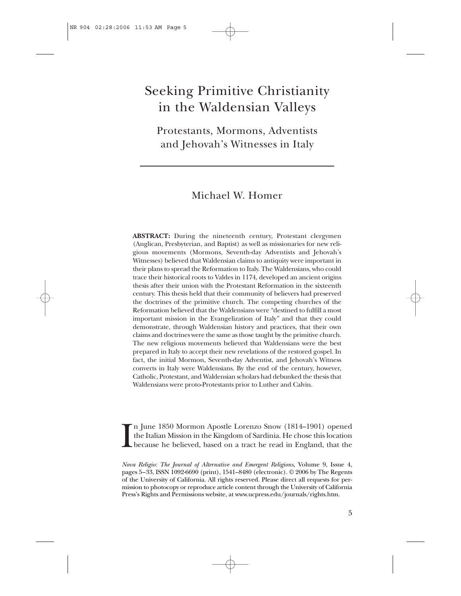# Seeking Primitive Christianity in the Waldensian Valleys

Protestants, Mormons, Adventists and Jehovah's Witnesses in Italy

# Michael W. Homer

**ABSTRACT:** During the nineteenth century, Protestant clergymen (Anglican, Presbyterian, and Baptist) as well as missionaries for new religious movements (Mormons, Seventh-day Adventists and Jehovah's Witnesses) believed that Waldensian claims to antiquity were important in their plans to spread the Reformation to Italy. The Waldensians, who could trace their historical roots to Valdes in 1174, developed an ancient origins thesis after their union with the Protestant Reformation in the sixteenth century. This thesis held that their community of believers had preserved the doctrines of the primitive church. The competing churches of the Reformation believed that the Waldensians were "destined to fulfill a most important mission in the Evangelization of Italy" and that they could demonstrate, through Waldensian history and practices, that their own claims and doctrines were the same as those taught by the primitive church. The new religious movements believed that Waldensians were the best prepared in Italy to accept their new revelations of the restored gospel. In fact, the initial Mormon, Seventh-day Adventist, and Jehovah's Witness converts in Italy were Waldensians. By the end of the century, however, Catholic, Protestant, and Waldensian scholars had debunked the thesis that Waldensians were proto-Protestants prior to Luther and Calvin.

I n June 1850 Mormon Apostle Lorenzo Snow (1814–1901) opened the Italian Mission in the Kingdom of Sardinia. He chose this location because he believed, based on a tract he read in England, that the

*Nova Religio: The Journal of Alternative and Emergent Religions,* Volume 9, Issue 4, pages 5–33, ISSN 1092-6690 (print), 1541–8480 (electronic). © 2006 by The Regents of the University of California. All rights reserved. Please direct all requests for permission to photocopy or reproduce article content through the University of California Press's Rights and Permissions website, at www.ucpress.edu/journals/rights.htm.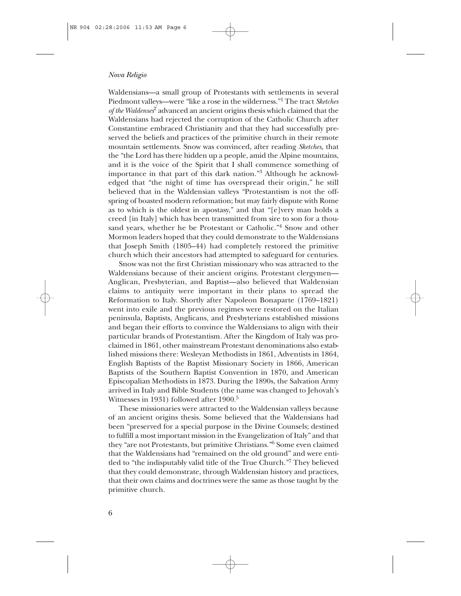Waldensians—a small group of Protestants with settlements in several Piedmont valleys—were "like a rose in the wilderness."1 The tract *Sketches of the Waldenses*<sup>2</sup> advanced an ancient origins thesis which claimed that the Waldensians had rejected the corruption of the Catholic Church after Constantine embraced Christianity and that they had successfully preserved the beliefs and practices of the primitive church in their remote mountain settlements. Snow was convinced, after reading *Sketches,* that the "the Lord has there hidden up a people, amid the Alpine mountains, and it is the voice of the Spirit that I shall commence something of importance in that part of this dark nation."<sup>3</sup> Although he acknowledged that "the night of time has overspread their origin," he still believed that in the Waldensian valleys "Protestantism is not the offspring of boasted modern reformation; but may fairly dispute with Rome as to which is the oldest in apostasy," and that "[e]very man holds a creed [in Italy] which has been transmitted from sire to son for a thousand years, whether he be Protestant or Catholic."<sup>4</sup> Snow and other Mormon leaders hoped that they could demonstrate to the Waldensians that Joseph Smith (1805–44) had completely restored the primitive church which their ancestors had attempted to safeguard for centuries.

Snow was not the first Christian missionary who was attracted to the Waldensians because of their ancient origins. Protestant clergymen— Anglican, Presbyterian, and Baptist—also believed that Waldensian claims to antiquity were important in their plans to spread the Reformation to Italy. Shortly after Napoleon Bonaparte (1769–1821) went into exile and the previous regimes were restored on the Italian peninsula, Baptists, Anglicans, and Presbyterians established missions and began their efforts to convince the Waldensians to align with their particular brands of Protestantism. After the Kingdom of Italy was proclaimed in 1861, other mainstream Protestant denominations also established missions there: Wesleyan Methodists in 1861, Adventists in 1864, English Baptists of the Baptist Missionary Society in 1866, American Baptists of the Southern Baptist Convention in 1870, and American Episcopalian Methodists in 1873. During the 1890s, the Salvation Army arrived in Italy and Bible Students (the name was changed to Jehovah's Witnesses in 1931) followed after 1900.<sup>5</sup>

These missionaries were attracted to the Waldensian valleys because of an ancient origins thesis. Some believed that the Waldensians had been "preserved for a special purpose in the Divine Counsels; destined to fulfill a most important mission in the Evangelization of Italy" and that they "are not Protestants, but primitive Christians."6 Some even claimed that the Waldensians had "remained on the old ground" and were entitled to "the indisputably valid title of the True Church."7 They believed that they could demonstrate, through Waldensian history and practices, that their own claims and doctrines were the same as those taught by the primitive church.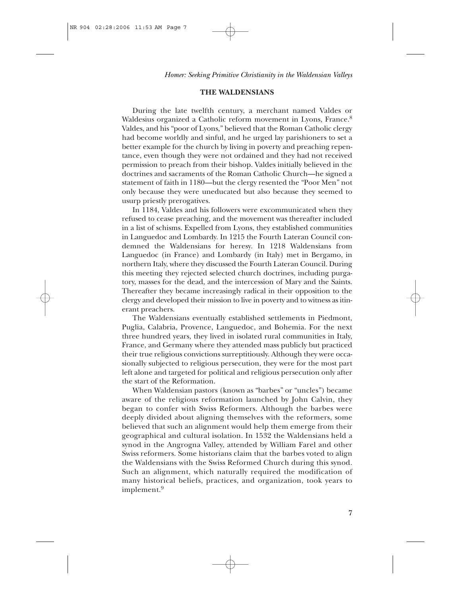# **THE WALDENSIANS**

During the late twelfth century, a merchant named Valdes or Waldesius organized a Catholic reform movement in Lyons, France.<sup>8</sup> Valdes, and his "poor of Lyons," believed that the Roman Catholic clergy had become worldly and sinful, and he urged lay parishioners to set a better example for the church by living in poverty and preaching repentance, even though they were not ordained and they had not received permission to preach from their bishop. Valdes initially believed in the doctrines and sacraments of the Roman Catholic Church—he signed a statement of faith in 1180—but the clergy resented the "Poor Men" not only because they were uneducated but also because they seemed to usurp priestly prerogatives.

In 1184, Valdes and his followers were excommunicated when they refused to cease preaching, and the movement was thereafter included in a list of schisms. Expelled from Lyons, they established communities in Languedoc and Lombardy. In 1215 the Fourth Lateran Council condemned the Waldensians for heresy. In 1218 Waldensians from Languedoc (in France) and Lombardy (in Italy) met in Bergamo, in northern Italy, where they discussed the Fourth Lateran Council. During this meeting they rejected selected church doctrines, including purgatory, masses for the dead, and the intercession of Mary and the Saints. Thereafter they became increasingly radical in their opposition to the clergy and developed their mission to live in poverty and to witness as itinerant preachers.

The Waldensians eventually established settlements in Piedmont, Puglia, Calabria, Provence, Languedoc, and Bohemia. For the next three hundred years, they lived in isolated rural communities in Italy, France, and Germany where they attended mass publicly but practiced their true religious convictions surreptitiously. Although they were occasionally subjected to religious persecution, they were for the most part left alone and targeted for political and religious persecution only after the start of the Reformation.

When Waldensian pastors (known as "barbes" or "uncles") became aware of the religious reformation launched by John Calvin, they began to confer with Swiss Reformers. Although the barbes were deeply divided about aligning themselves with the reformers, some believed that such an alignment would help them emerge from their geographical and cultural isolation. In 1532 the Waldensians held a synod in the Angrogna Valley, attended by William Farel and other Swiss reformers. Some historians claim that the barbes voted to align the Waldensians with the Swiss Reformed Church during this synod. Such an alignment, which naturally required the modification of many historical beliefs, practices, and organization, took years to implement.<sup>9</sup>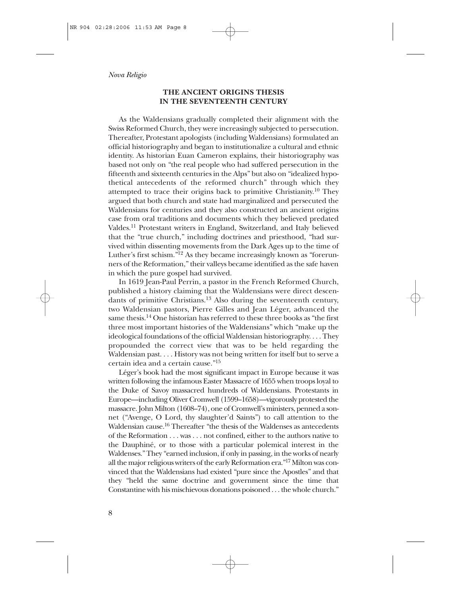# **THE ANCIENT ORIGINS THESIS IN THE SEVENTEENTH CENTURY**

As the Waldensians gradually completed their alignment with the Swiss Reformed Church, they were increasingly subjected to persecution. Thereafter, Protestant apologists (including Waldensians) formulated an official historiography and began to institutionalize a cultural and ethnic identity. As historian Euan Cameron explains, their historiography was based not only on "the real people who had suffered persecution in the fifteenth and sixteenth centuries in the Alps" but also on "idealized hypothetical antecedents of the reformed church" through which they attempted to trace their origins back to primitive Christianity.<sup>10</sup> They argued that both church and state had marginalized and persecuted the Waldensians for centuries and they also constructed an ancient origins case from oral traditions and documents which they believed predated Valdes.11 Protestant writers in England, Switzerland, and Italy believed that the "true church," including doctrines and priesthood, "had survived within dissenting movements from the Dark Ages up to the time of Luther's first schism."12 As they became increasingly known as "forerunners of the Reformation," their valleys became identified as the safe haven in which the pure gospel had survived.

In 1619 Jean-Paul Perrin, a pastor in the French Reformed Church, published a history claiming that the Waldensians were direct descendants of primitive Christians.<sup>13</sup> Also during the seventeenth century, two Waldensian pastors, Pierre Gilles and Jean Léger, advanced the same thesis.<sup>14</sup> One historian has referred to these three books as "the first three most important histories of the Waldensians" which "make up the ideological foundations of the official Waldensian historiography. . . . They propounded the correct view that was to be held regarding the Waldensian past. . . . History was not being written for itself but to serve a certain idea and a certain cause."15

Léger's book had the most significant impact in Europe because it was written following the infamous Easter Massacre of 1655 when troops loyal to the Duke of Savoy massacred hundreds of Waldensians. Protestants in Europe—including Oliver Cromwell (1599–1658)—vigorously protested the massacre. John Milton (1608–74), one of Cromwell's ministers, penned a sonnet ("Avenge, O Lord, thy slaughter'd Saints") to call attention to the Waldensian cause.<sup>16</sup> Thereafter "the thesis of the Waldenses as antecedents of the Reformation . . . was . . . not confined, either to the authors native to the Dauphiné, or to those with a particular polemical interest in the Waldenses." They "earned inclusion, if only in passing, in the works of nearly all the major religious writers of the early Reformation era."17 Milton was convinced that the Waldensians had existed "pure since the Apostles" and that they "held the same doctrine and government since the time that Constantine with his mischievous donations poisoned . . . the whole church."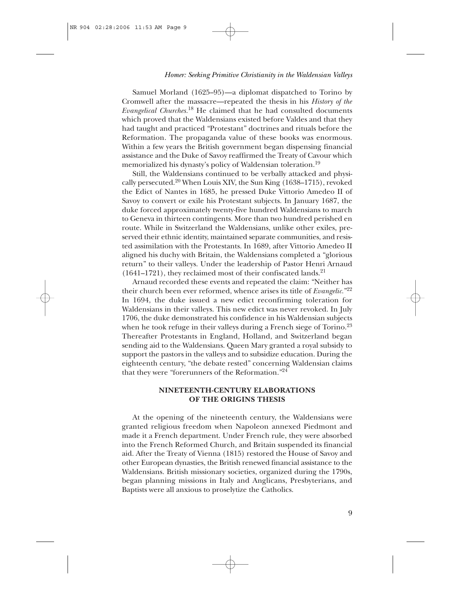Samuel Morland (1625–95)—a diplomat dispatched to Torino by Cromwell after the massacre—repeated the thesis in his *History of the Evangelical Churches.*<sup>18</sup> He claimed that he had consulted documents which proved that the Waldensians existed before Valdes and that they had taught and practiced "Protestant" doctrines and rituals before the Reformation. The propaganda value of these books was enormous. Within a few years the British government began dispensing financial assistance and the Duke of Savoy reaffirmed the Treaty of Cavour which memorialized his dynasty's policy of Waldensian toleration.19

Still, the Waldensians continued to be verbally attacked and physically persecuted.20 When Louis XIV, the Sun King (1638–1715), revoked the Edict of Nantes in 1685, he pressed Duke Vittorio Amedeo II of Savoy to convert or exile his Protestant subjects. In January 1687, the duke forced approximately twenty-five hundred Waldensians to march to Geneva in thirteen contingents. More than two hundred perished en route. While in Switzerland the Waldensians, unlike other exiles, preserved their ethnic identity, maintained separate communities, and resisted assimilation with the Protestants. In 1689, after Vittorio Amedeo II aligned his duchy with Britain, the Waldensians completed a "glorious return" to their valleys. Under the leadership of Pastor Henri Arnaud  $(1641-1721)$ , they reclaimed most of their confiscated lands.<sup>21</sup>

Arnaud recorded these events and repeated the claim: "Neither has their church been ever reformed, whence arises its title of *Evangelic.*"22 In 1694, the duke issued a new edict reconfirming toleration for Waldensians in their valleys. This new edict was never revoked. In July 1706, the duke demonstrated his confidence in his Waldensian subjects when he took refuge in their valleys during a French siege of Torino. $23$ Thereafter Protestants in England, Holland, and Switzerland began sending aid to the Waldensians. Queen Mary granted a royal subsidy to support the pastors in the valleys and to subsidize education. During the eighteenth century, "the debate rested" concerning Waldensian claims that they were "forerunners of the Reformation."24

# **NINETEENTH-CENTURY ELABORATIONS OF THE ORIGINS THESIS**

At the opening of the nineteenth century, the Waldensians were granted religious freedom when Napoleon annexed Piedmont and made it a French department. Under French rule, they were absorbed into the French Reformed Church, and Britain suspended its financial aid. After the Treaty of Vienna (1815) restored the House of Savoy and other European dynasties, the British renewed financial assistance to the Waldensians. British missionary societies, organized during the 1790s, began planning missions in Italy and Anglicans, Presbyterians, and Baptists were all anxious to proselytize the Catholics.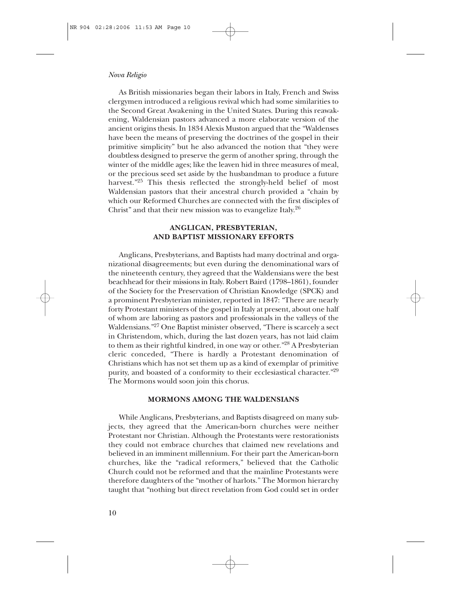As British missionaries began their labors in Italy, French and Swiss clergymen introduced a religious revival which had some similarities to the Second Great Awakening in the United States. During this reawakening, Waldensian pastors advanced a more elaborate version of the ancient origins thesis. In 1834 Alexis Muston argued that the "Waldenses have been the means of preserving the doctrines of the gospel in their primitive simplicity" but he also advanced the notion that "they were doubtless designed to preserve the germ of another spring, through the winter of the middle ages; like the leaven hid in three measures of meal, or the precious seed set aside by the husbandman to produce a future harvest."<sup>25</sup> This thesis reflected the strongly-held belief of most Waldensian pastors that their ancestral church provided a "chain by which our Reformed Churches are connected with the first disciples of Christ" and that their new mission was to evangelize Italy.<sup>26</sup>

# **ANGLICAN, PRESBYTERIAN, AND BAPTIST MISSIONARY EFFORTS**

Anglicans, Presbyterians, and Baptists had many doctrinal and organizational disagreements; but even during the denominational wars of the nineteenth century, they agreed that the Waldensians were the best beachhead for their missions in Italy. Robert Baird (1798–1861), founder of the Society for the Preservation of Christian Knowledge (SPCK) and a prominent Presbyterian minister, reported in 1847: "There are nearly forty Protestant ministers of the gospel in Italy at present, about one half of whom are laboring as pastors and professionals in the valleys of the Waldensians."27 One Baptist minister observed, "There is scarcely a sect in Christendom, which, during the last dozen years, has not laid claim to them as their rightful kindred, in one way or other."<sup>28</sup> A Presbyterian cleric conceded, "There is hardly a Protestant denomination of Christians which has not set them up as a kind of exemplar of primitive purity, and boasted of a conformity to their ecclesiastical character."29 The Mormons would soon join this chorus.

# **MORMONS AMONG THE WALDENSIANS**

While Anglicans, Presbyterians, and Baptists disagreed on many subjects, they agreed that the American-born churches were neither Protestant nor Christian. Although the Protestants were restorationists they could not embrace churches that claimed new revelations and believed in an imminent millennium. For their part the American-born churches, like the "radical reformers," believed that the Catholic Church could not be reformed and that the mainline Protestants were therefore daughters of the "mother of harlots." The Mormon hierarchy taught that "nothing but direct revelation from God could set in order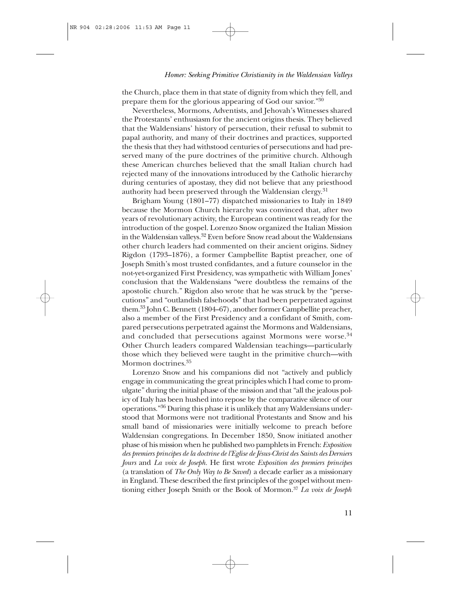the Church, place them in that state of dignity from which they fell, and prepare them for the glorious appearing of God our savior."30

Nevertheless, Mormons, Adventists, and Jehovah's Witnesses shared the Protestants' enthusiasm for the ancient origins thesis. They believed that the Waldensians' history of persecution, their refusal to submit to papal authority, and many of their doctrines and practices, supported the thesis that they had withstood centuries of persecutions and had preserved many of the pure doctrines of the primitive church. Although these American churches believed that the small Italian church had rejected many of the innovations introduced by the Catholic hierarchy during centuries of apostasy, they did not believe that any priesthood authority had been preserved through the Waldensian clergy.<sup>31</sup>

Brigham Young (1801–77) dispatched missionaries to Italy in 1849 because the Mormon Church hierarchy was convinced that, after two years of revolutionary activity, the European continent was ready for the introduction of the gospel. Lorenzo Snow organized the Italian Mission in the Waldensian valleys.32 Even before Snow read about the Waldensians other church leaders had commented on their ancient origins. Sidney Rigdon (1793–1876), a former Campbellite Baptist preacher, one of Joseph Smith's most trusted confidantes, and a future counselor in the not-yet-organized First Presidency, was sympathetic with William Jones' conclusion that the Waldensians "were doubtless the remains of the apostolic church." Rigdon also wrote that he was struck by the "persecutions" and "outlandish falsehoods" that had been perpetrated against them.33 John C. Bennett (1804–67), another former Campbellite preacher, also a member of the First Presidency and a confidant of Smith, compared persecutions perpetrated against the Mormons and Waldensians, and concluded that persecutions against Mormons were worse.<sup>34</sup> Other Church leaders compared Waldensian teachings—particularly those which they believed were taught in the primitive church—with Mormon doctrines.<sup>35</sup>

Lorenzo Snow and his companions did not "actively and publicly engage in communicating the great principles which I had come to promulgate" during the initial phase of the mission and that "all the jealous policy of Italy has been hushed into repose by the comparative silence of our operations."36 During this phase it is unlikely that any Waldensians understood that Mormons were not traditional Protestants and Snow and his small band of missionaries were initially welcome to preach before Waldensian congregations. In December 1850, Snow initiated another phase of his mission when he published two pamphlets in French: *Exposition des premiers principes de la doctrine de l'Eglise de Jésus-Christ des Saints des Derniers Jours* and *La voix de Joseph.* He first wrote *Exposition des premiers principes* (a translation of *The Only Way to Be Saved*) a decade earlier as a missionary in England. These described the first principles of the gospel without mentioning either Joseph Smith or the Book of Mormon.37 *La voix de Joseph*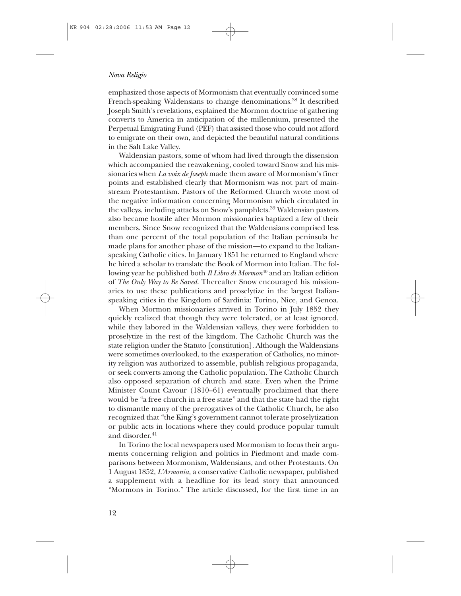emphasized those aspects of Mormonism that eventually convinced some French-speaking Waldensians to change denominations.<sup>38</sup> It described Joseph Smith's revelations, explained the Mormon doctrine of gathering converts to America in anticipation of the millennium, presented the Perpetual Emigrating Fund (PEF) that assisted those who could not afford to emigrate on their own, and depicted the beautiful natural conditions in the Salt Lake Valley.

Waldensian pastors, some of whom had lived through the dissension which accompanied the reawakening, cooled toward Snow and his missionaries when *La voix de Joseph* made them aware of Mormonism's finer points and established clearly that Mormonism was not part of mainstream Protestantism. Pastors of the Reformed Church wrote most of the negative information concerning Mormonism which circulated in the valleys, including attacks on Snow's pamphlets.39 Waldensian pastors also became hostile after Mormon missionaries baptized a few of their members. Since Snow recognized that the Waldensians comprised less than one percent of the total population of the Italian peninsula he made plans for another phase of the mission—to expand to the Italianspeaking Catholic cities. In January 1851 he returned to England where he hired a scholar to translate the Book of Mormon into Italian. The following year he published both *Il Libro di Mormon*<sup>40</sup> and an Italian edition of *The Only Way to Be Saved*. Thereafter Snow encouraged his missionaries to use these publications and proselytize in the largest Italianspeaking cities in the Kingdom of Sardinia: Torino, Nice, and Genoa.

When Mormon missionaries arrived in Torino in July 1852 they quickly realized that though they were tolerated, or at least ignored, while they labored in the Waldensian valleys, they were forbidden to proselytize in the rest of the kingdom. The Catholic Church was the state religion under the Statuto [constitution]. Although the Waldensians were sometimes overlooked, to the exasperation of Catholics, no minority religion was authorized to assemble, publish religious propaganda, or seek converts among the Catholic population. The Catholic Church also opposed separation of church and state. Even when the Prime Minister Count Cavour (1810–61) eventually proclaimed that there would be "a free church in a free state" and that the state had the right to dismantle many of the prerogatives of the Catholic Church, he also recognized that "the King's government cannot tolerate proselytization or public acts in locations where they could produce popular tumult and disorder.<sup>41</sup>

In Torino the local newspapers used Mormonism to focus their arguments concerning religion and politics in Piedmont and made comparisons between Mormonism, Waldensians, and other Protestants. On 1 August 1852, *L'Armonia,* a conservative Catholic newspaper, published a supplement with a headline for its lead story that announced "Mormons in Torino." The article discussed, for the first time in an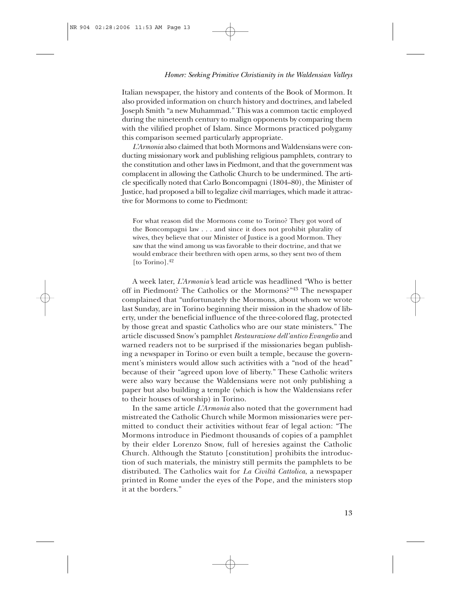### *Homer: Seeking Primitive Christianity in the Waldensian Valleys*

Italian newspaper, the history and contents of the Book of Mormon. It also provided information on church history and doctrines, and labeled Joseph Smith "a new Muhammad." This was a common tactic employed during the nineteenth century to malign opponents by comparing them with the vilified prophet of Islam. Since Mormons practiced polygamy this comparison seemed particularly appropriate.

*L'Armonia* also claimed that both Mormons and Waldensians were conducting missionary work and publishing religious pamphlets, contrary to the constitution and other laws in Piedmont, and that the government was complacent in allowing the Catholic Church to be undermined. The article specifically noted that Carlo Boncompagni (1804–80), the Minister of Justice, had proposed a bill to legalize civil marriages, which made it attractive for Mormons to come to Piedmont:

For what reason did the Mormons come to Torino? They got word of the Boncompagni law . . . and since it does not prohibit plurality of wives, they believe that our Minister of Justice is a good Mormon. They saw that the wind among us was favorable to their doctrine, and that we would embrace their brethren with open arms, so they sent two of them [to Torino].<sup>42</sup>

A week later, *L'Armonia'*s lead article was headlined "Who is better off in Piedmont? The Catholics or the Mormons?"<sup>43</sup> The newspaper complained that "unfortunately the Mormons, about whom we wrote last Sunday, are in Torino beginning their mission in the shadow of liberty, under the beneficial influence of the three-colored flag, protected by those great and spastic Catholics who are our state ministers." The article discussed Snow's pamphlet *Restaurazione dell'antico Evangelio* and warned readers not to be surprised if the missionaries began publishing a newspaper in Torino or even built a temple, because the government's ministers would allow such activities with a "nod of the head" because of their "agreed upon love of liberty." These Catholic writers were also wary because the Waldensians were not only publishing a paper but also building a temple (which is how the Waldensians refer to their houses of worship) in Torino.

In the same article *L'Armonia* also noted that the government had mistreated the Catholic Church while Mormon missionaries were permitted to conduct their activities without fear of legal action: "The Mormons introduce in Piedmont thousands of copies of a pamphlet by their elder Lorenzo Snow, full of heresies against the Catholic Church. Although the Statuto [constitution] prohibits the introduction of such materials, the ministry still permits the pamphlets to be distributed. The Catholics wait for *La Civiltà Cattolica*, a newspaper printed in Rome under the eyes of the Pope, and the ministers stop it at the borders."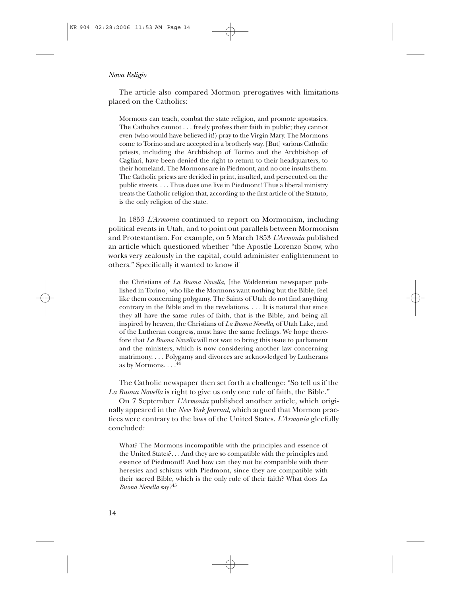The article also compared Mormon prerogatives with limitations placed on the Catholics:

Mormons can teach, combat the state religion, and promote apostasies. The Catholics cannot . . . freely profess their faith in public; they cannot even (who would have believed it!) pray to the Virgin Mary. The Mormons come to Torino and are accepted in a brotherly way. [But] various Catholic priests, including the Archbishop of Torino and the Archbishop of Cagliari, have been denied the right to return to their headquarters, to their homeland. The Mormons are in Piedmont, and no one insults them. The Catholic priests are derided in print, insulted, and persecuted on the public streets. . . . Thus does one live in Piedmont! Thus a liberal ministry treats the Catholic religion that, according to the first article of the Statuto, is the only religion of the state.

In 1853 *L'Armonia* continued to report on Mormonism, including political events in Utah, and to point out parallels between Mormonism and Protestantism. For example, on 5 March 1853 *L'Armonia* published an article which questioned whether "the Apostle Lorenzo Snow, who works very zealously in the capital, could administer enlightenment to others." Specifically it wanted to know if

the Christians of *La Buona Novella*, [the Waldensian newspaper published in Torino] who like the Mormons want nothing but the Bible, feel like them concerning polygamy. The Saints of Utah do not find anything contrary in the Bible and in the revelations. . . . It is natural that since they all have the same rules of faith, that is the Bible, and being all inspired by heaven, the Christians of *La Buona Novella*, of Utah Lake, and of the Lutheran congress, must have the same feelings. We hope therefore that *La Buona Novella* will not wait to bring this issue to parliament and the ministers, which is now considering another law concerning matrimony. . . . Polygamy and divorces are acknowledged by Lutherans as by Mormons. . . .<sup>44</sup>

The Catholic newspaper then set forth a challenge: "So tell us if the *La Buona Novella* is right to give us only one rule of faith, the Bible."

On 7 September *L'Armonia* published another article, which originally appeared in the *New York Journal,* which argued that Mormon practices were contrary to the laws of the United States. *L'Armonia* gleefully concluded:

What? The Mormons incompatible with the principles and essence of the United States?. . . And they are so compatible with the principles and essence of Piedmont!! And how can they not be compatible with their heresies and schisms with Piedmont, since they are compatible with their sacred Bible, which is the only rule of their faith? What does *La Buona Novella* say?45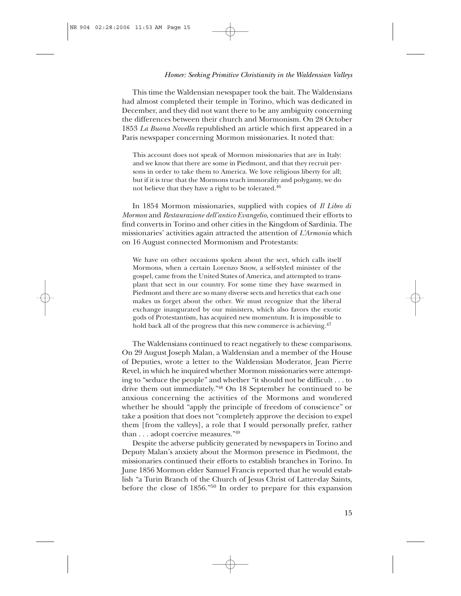#### *Homer: Seeking Primitive Christianity in the Waldensian Valleys*

This time the Waldensian newspaper took the bait. The Waldensians had almost completed their temple in Torino, which was dedicated in December, and they did not want there to be any ambiguity concerning the differences between their church and Mormonism. On 28 October 1853 *La Buona Novella* republished an article which first appeared in a Paris newspaper concerning Mormon missionaries. It noted that:

This account does not speak of Mormon missionaries that are in Italy: and we know that there are some in Piedmont, and that they recruit persons in order to take them to America. We love religious liberty for all; but if it is true that the Mormons teach immorality and polygamy, we do not believe that they have a right to be tolerated.46

In 1854 Mormon missionaries, supplied with copies of *Il Libro di Mormon* and *Restaurazione dell'antico Evangelio,* continued their efforts to find converts in Torino and other cities in the Kingdom of Sardinia. The missionaries' activities again attracted the attention of *L'Armonia* which on 16 August connected Mormonism and Protestants:

We have on other occasions spoken about the sect, which calls itself Mormons, when a certain Lorenzo Snow, a self-styled minister of the gospel, came from the United States of America, and attempted to transplant that sect in our country. For some time they have swarmed in Piedmont and there are so many diverse sects and heretics that each one makes us forget about the other. We must recognize that the liberal exchange inaugurated by our ministers, which also favors the exotic gods of Protestantism, has acquired new momentum. It is impossible to hold back all of the progress that this new commerce is achieving.<sup>47</sup>

The Waldensians continued to react negatively to these comparisons. On 29 August Joseph Malan, a Waldensian and a member of the House of Deputies, wrote a letter to the Waldensian Moderator, Jean Pierre Revel, in which he inquired whether Mormon missionaries were attempting to "seduce the people" and whether "it should not be difficult . . . to drive them out immediately."48 On 18 September he continued to be anxious concerning the activities of the Mormons and wondered whether he should "apply the principle of freedom of conscience" or take a position that does not "completely approve the decision to expel them [from the valleys], a role that I would personally prefer, rather than . . . adopt coercive measures."49

Despite the adverse publicity generated by newspapers in Torino and Deputy Malan's anxiety about the Mormon presence in Piedmont, the missionaries continued their efforts to establish branches in Torino. In June 1856 Mormon elder Samuel Francis reported that he would establish "a Turin Branch of the Church of Jesus Christ of Latter-day Saints, before the close of 1856."<sup>50</sup> In order to prepare for this expansion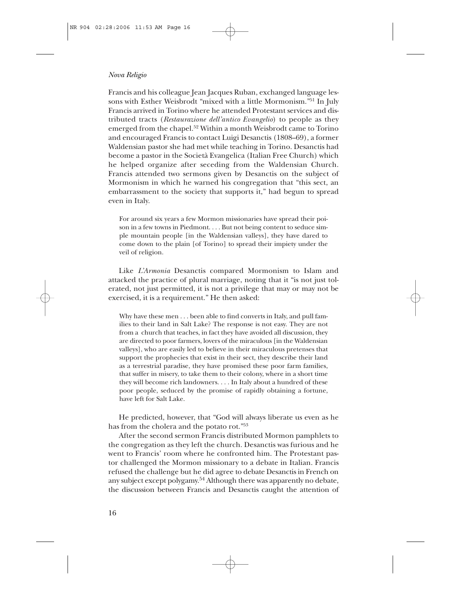Francis and his colleague Jean Jacques Ruban, exchanged language lessons with Esther Weisbrodt "mixed with a little Mormonism."51 In July Francis arrived in Torino where he attended Protestant services and distributed tracts (*Restaurazione dell'antico Evangelio*) to people as they emerged from the chapel.52 Within a month Weisbrodt came to Torino and encouraged Francis to contact Luigi Desanctis (1808–69), a former Waldensian pastor she had met while teaching in Torino. Desanctis had become a pastor in the Società Evangelica (Italian Free Church) which he helped organize after seceding from the Waldensian Church. Francis attended two sermons given by Desanctis on the subject of Mormonism in which he warned his congregation that "this sect, an embarrassment to the society that supports it," had begun to spread even in Italy.

For around six years a few Mormon missionaries have spread their poison in a few towns in Piedmont. . . . But not being content to seduce simple mountain people [in the Waldensian valleys], they have dared to come down to the plain [of Torino] to spread their impiety under the veil of religion.

Like *L'Armonia* Desanctis compared Mormonism to Islam and attacked the practice of plural marriage, noting that it "is not just tolerated, not just permitted, it is not a privilege that may or may not be exercised, it is a requirement." He then asked:

Why have these men . . . been able to find converts in Italy, and pull families to their land in Salt Lake? The response is not easy. They are not from a church that teaches, in fact they have avoided all discussion, they are directed to poor farmers, lovers of the miraculous [in the Waldensian valleys], who are easily led to believe in their miraculous pretenses that support the prophecies that exist in their sect, they describe their land as a terrestrial paradise, they have promised these poor farm families, that suffer in misery, to take them to their colony, where in a short time they will become rich landowners. . . . In Italy about a hundred of these poor people, seduced by the promise of rapidly obtaining a fortune, have left for Salt Lake.

He predicted, however, that "God will always liberate us even as he has from the cholera and the potato rot."53

After the second sermon Francis distributed Mormon pamphlets to the congregation as they left the church. Desanctis was furious and he went to Francis' room where he confronted him. The Protestant pastor challenged the Mormon missionary to a debate in Italian. Francis refused the challenge but he did agree to debate Desanctis in French on any subject except polygamy.<sup>54</sup> Although there was apparently no debate, the discussion between Francis and Desanctis caught the attention of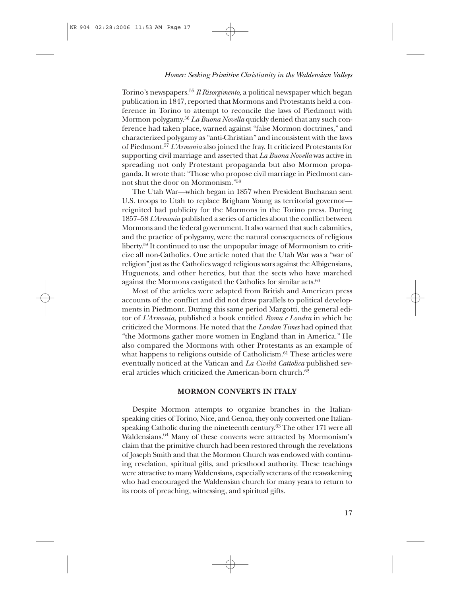Torino's newspapers.55 *Il Risorgimento,* a political newspaper which began publication in 1847, reported that Mormons and Protestants held a conference in Torino to attempt to reconcile the laws of Piedmont with Mormon polygamy.56 *La Buona Novella* quickly denied that any such conference had taken place, warned against "false Mormon doctrines," and characterized polygamy as "anti-Christian" and inconsistent with the laws of Piedmont.57 *L'Armonia* also joined the fray. It criticized Protestants for supporting civil marriage and asserted that *La Buona Novella* was active in spreading not only Protestant propaganda but also Mormon propaganda. It wrote that: "Those who propose civil marriage in Piedmont cannot shut the door on Mormonism."58

The Utah War—which began in 1857 when President Buchanan sent U.S. troops to Utah to replace Brigham Young as territorial governor reignited bad publicity for the Mormons in the Torino press. During 1857–58 *L'Armonia* published a series of articles about the conflict between Mormons and the federal government. It also warned that such calamities, and the practice of polygamy, were the natural consequences of religious liberty.59 It continued to use the unpopular image of Mormonism to criticize all non-Catholics. One article noted that the Utah War was a "war of religion" just as the Catholics waged religious wars against the Albigensians, Huguenots, and other heretics, but that the sects who have marched against the Mormons castigated the Catholics for similar acts.<sup>60</sup>

Most of the articles were adapted from British and American press accounts of the conflict and did not draw parallels to political developments in Piedmont. During this same period Margotti, the general editor of *L'Armonia,* published a book entitled *Roma e Londra* in which he criticized the Mormons. He noted that the *London Times* had opined that "the Mormons gather more women in England than in America." He also compared the Mormons with other Protestants as an example of what happens to religions outside of Catholicism.<sup>61</sup> These articles were eventually noticed at the Vatican and *La Civiltà Cattolica* published several articles which criticized the American-born church.<sup>62</sup>

# **MORMON CONVERTS IN ITALY**

Despite Mormon attempts to organize branches in the Italianspeaking cities of Torino, Nice, and Genoa, they only converted one Italianspeaking Catholic during the nineteenth century.<sup>63</sup> The other 171 were all Waldensians.<sup>64</sup> Many of these converts were attracted by Mormonism's claim that the primitive church had been restored through the revelations of Joseph Smith and that the Mormon Church was endowed with continuing revelation, spiritual gifts, and priesthood authority. These teachings were attractive to many Waldensians, especially veterans of the reawakening who had encouraged the Waldensian church for many years to return to its roots of preaching, witnessing, and spiritual gifts.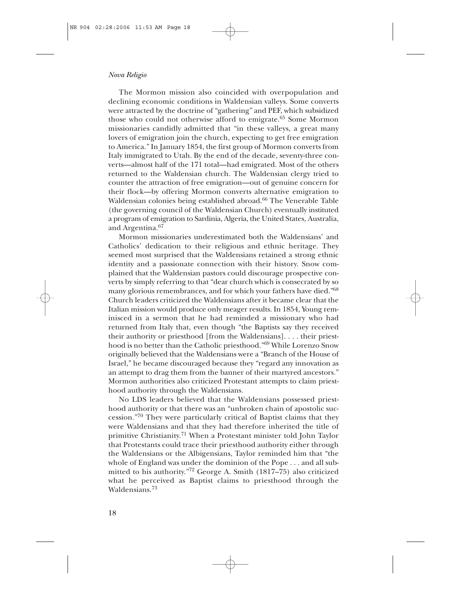The Mormon mission also coincided with overpopulation and declining economic conditions in Waldensian valleys. Some converts were attracted by the doctrine of "gathering" and PEF, which subsidized those who could not otherwise afford to emigrate.<sup>65</sup> Some Mormon missionaries candidly admitted that "in these valleys, a great many lovers of emigration join the church, expecting to get free emigration to America." In January 1854, the first group of Mormon converts from Italy immigrated to Utah. By the end of the decade, seventy-three converts—almost half of the 171 total—had emigrated. Most of the others returned to the Waldensian church. The Waldensian clergy tried to counter the attraction of free emigration—out of genuine concern for their flock—by offering Mormon converts alternative emigration to Waldensian colonies being established abroad.<sup>66</sup> The Venerable Table (the governing council of the Waldensian Church) eventually instituted a program of emigration to Sardinia, Algeria, the United States, Australia, and Argentina.<sup>67</sup>

Mormon missionaries underestimated both the Waldensians' and Catholics' dedication to their religious and ethnic heritage. They seemed most surprised that the Waldensians retained a strong ethnic identity and a passionate connection with their history. Snow complained that the Waldensian pastors could discourage prospective converts by simply referring to that "dear church which is consecrated by so many glorious remembrances, and for which your fathers have died."<sup>68</sup> Church leaders criticized the Waldensians after it became clear that the Italian mission would produce only meager results. In 1854, Young reminisced in a sermon that he had reminded a missionary who had returned from Italy that, even though "the Baptists say they received their authority or priesthood [from the Waldensians]. . . . their priesthood is no better than the Catholic priesthood."69 While Lorenzo Snow originally believed that the Waldensians were a "Branch of the House of Israel," he became discouraged because they "regard any innovation as an attempt to drag them from the banner of their martyred ancestors." Mormon authorities also criticized Protestant attempts to claim priesthood authority through the Waldensians.

No LDS leaders believed that the Waldensians possessed priesthood authority or that there was an "unbroken chain of apostolic succession."<sup>70</sup> They were particularly critical of Baptist claims that they were Waldensians and that they had therefore inherited the title of primitive Christianity.<sup>71</sup> When a Protestant minister told John Taylor that Protestants could trace their priesthood authority either through the Waldensians or the Albigensians, Taylor reminded him that "the whole of England was under the dominion of the Pope . . . and all submitted to his authority."<sup>72</sup> George A. Smith (1817–75) also criticized what he perceived as Baptist claims to priesthood through the Waldensians.<sup>73</sup>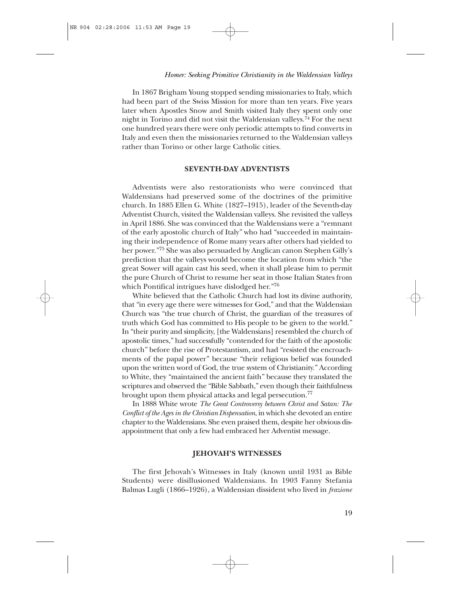In 1867 Brigham Young stopped sending missionaries to Italy, which had been part of the Swiss Mission for more than ten years. Five years later when Apostles Snow and Smith visited Italy they spent only one night in Torino and did not visit the Waldensian valleys.74 For the next one hundred years there were only periodic attempts to find converts in Italy and even then the missionaries returned to the Waldensian valleys rather than Torino or other large Catholic cities.

### **SEVENTH-DAY ADVENTISTS**

Adventists were also restorationists who were convinced that Waldensians had preserved some of the doctrines of the primitive church. In 1885 Ellen G. White (1827–1915), leader of the Seventh-day Adventist Church, visited the Waldensian valleys. She revisited the valleys in April 1886. She was convinced that the Waldensians were a "remnant of the early apostolic church of Italy" who had "succeeded in maintaining their independence of Rome many years after others had yielded to her power."75 She was also persuaded by Anglican canon Stephen Gilly's prediction that the valleys would become the location from which "the great Sower will again cast his seed, when it shall please him to permit the pure Church of Christ to resume her seat in those Italian States from which Pontifical intrigues have dislodged her. $\frac{76}{6}$ 

White believed that the Catholic Church had lost its divine authority, that "in every age there were witnesses for God," and that the Waldensian Church was "the true church of Christ, the guardian of the treasures of truth which God has committed to His people to be given to the world." In "their purity and simplicity, [the Waldensians] resembled the church of apostolic times," had successfully "contended for the faith of the apostolic church" before the rise of Protestantism, and had "resisted the encroachments of the papal power" because "their religious belief was founded upon the written word of God, the true system of Christianity." According to White, they "maintained the ancient faith" because they translated the scriptures and observed the "Bible Sabbath," even though their faithfulness brought upon them physical attacks and legal persecution.<sup>77</sup>

In 1888 White wrote *The Great Controversy between Christ and Satan: The Conflict of the Ages in the Christian Dispensation*, in which she devoted an entire chapter to the Waldensians. She even praised them, despite her obvious disappointment that only a few had embraced her Adventist message.

# **JEHOVAH'S WITNESSES**

The first Jehovah's Witnesses in Italy (known until 1931 as Bible Students) were disillusioned Waldensians. In 1903 Fanny Stefania Balmas Lugli (1866–1926), a Waldensian dissident who lived in *frazione*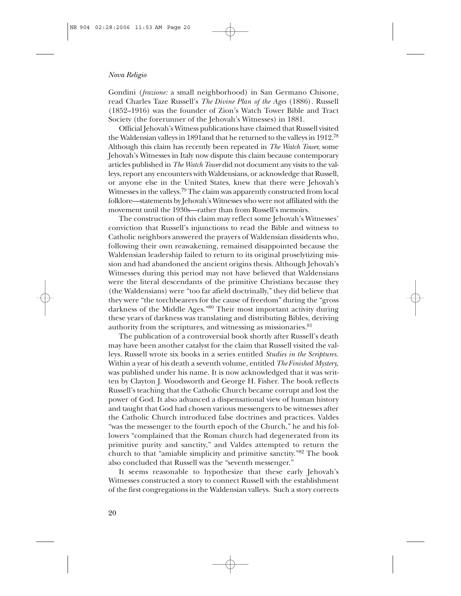Gondini (*frazione:* a small neighborhood) in San Germano Chisone, read Charles Taze Russell's *The Divine Plan of the Ages* (1886)*.* Russell (1852–1916) was the founder of Zion's Watch Tower Bible and Tract Society (the forerunner of the Jehovah's Witnesses) in 1881.

Official Jehovah's Witness publications have claimed that Russell visited the Waldensian valleys in 1891and that he returned to the valleys in 1912.78 Although this claim has recently been repeated in *The Watch Tower,* some Jehovah's Witnesses in Italy now dispute this claim because contemporary articles published in *The Watch Tower* did not document any visits to the valleys, report any encounters with Waldensians, or acknowledge that Russell, or anyone else in the United States, knew that there were Jehovah's Witnesses in the valleys.<sup>79</sup> The claim was apparently constructed from local folklore—statements by Jehovah's Witnesses who were not affiliated with the movement until the 1930s—rather than from Russell's memoirs.

The construction of this claim may reflect some Jehovah's Witnesses' conviction that Russell's injunctions to read the Bible and witness to Catholic neighbors answered the prayers of Waldensian dissidents who, following their own reawakening, remained disappointed because the Waldensian leadership failed to return to its original proselytizing mission and had abandoned the ancient origins thesis. Although Jehovah's Witnesses during this period may not have believed that Waldensians were the literal descendants of the primitive Christians because they (the Waldensians) were "too far afield doctrinally," they did believe that they were "the torchbearers for the cause of freedom" during the "gross darkness of the Middle Ages."80 Their most important activity during these years of darkness was translating and distributing Bibles, deriving authority from the scriptures, and witnessing as missionaries.<sup>81</sup>

The publication of a controversial book shortly after Russell's death may have been another catalyst for the claim that Russell visited the valleys. Russell wrote six books in a series entitled *Studies in the Scriptures.* Within a year of his death a seventh volume, entitled *The Finished Mystery,* was published under his name. It is now acknowledged that it was written by Clayton J. Woodsworth and George H. Fisher. The book reflects Russell's teaching that the Catholic Church became corrupt and lost the power of God. It also advanced a dispensational view of human history and taught that God had chosen various messengers to be witnesses after the Catholic Church introduced false doctrines and practices. Valdes "was the messenger to the fourth epoch of the Church," he and his followers "complained that the Roman church had degenerated from its primitive purity and sanctity," and Valdes attempted to return the church to that "amiable simplicity and primitive sanctity."82 The book also concluded that Russell was the "seventh messenger."

It seems reasonable to hypothesize that these early Jehovah's Witnesses constructed a story to connect Russell with the establishment of the first congregations in the Waldensian valleys. Such a story corrects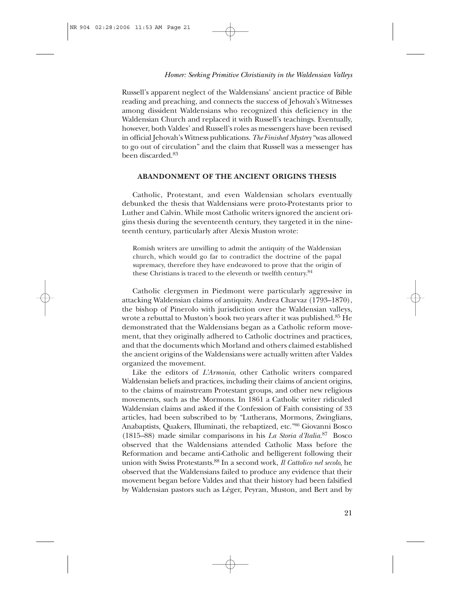Russell's apparent neglect of the Waldensians' ancient practice of Bible reading and preaching, and connects the success of Jehovah's Witnesses among dissident Waldensians who recognized this deficiency in the Waldensian Church and replaced it with Russell's teachings. Eventually, however, both Valdes' and Russell's roles as messengers have been revised in official Jehovah's Witness publications. *The Finished Mystery* "was allowed to go out of circulation" and the claim that Russell was a messenger has been discarded.<sup>83</sup>

# **ABANDONMENT OF THE ANCIENT ORIGINS THESIS**

Catholic, Protestant, and even Waldensian scholars eventually debunked the thesis that Waldensians were proto-Protestants prior to Luther and Calvin. While most Catholic writers ignored the ancient origins thesis during the seventeenth century, they targeted it in the nineteenth century, particularly after Alexis Muston wrote:

Romish writers are unwilling to admit the antiquity of the Waldensian church, which would go far to contradict the doctrine of the papal supremacy, therefore they have endeavored to prove that the origin of these Christians is traced to the eleventh or twelfth century.84

Catholic clergymen in Piedmont were particularly aggressive in attacking Waldensian claims of antiquity. Andrea Charvaz (1793–1870), the bishop of Pinerolo with jurisdiction over the Waldensian valleys, wrote a rebuttal to Muston's book two years after it was published.<sup>85</sup> He demonstrated that the Waldensians began as a Catholic reform movement, that they originally adhered to Catholic doctrines and practices, and that the documents which Morland and others claimed established the ancient origins of the Waldensians were actually written after Valdes organized the movement.

Like the editors of *L'Armonia*, other Catholic writers compared Waldensian beliefs and practices, including their claims of ancient origins, to the claims of mainstream Protestant groups, and other new religious movements, such as the Mormons. In 1861 a Catholic writer ridiculed Waldensian claims and asked if the Confession of Faith consisting of 33 articles, had been subscribed to by "Lutherans, Mormons, Zwinglians, Anabaptists, Quakers, Illuminati, the rebaptized, etc."86 Giovanni Bosco (1815–88) made similar comparisons in his *La Storia d'Italia.*<sup>87</sup> Bosco observed that the Waldensians attended Catholic Mass before the Reformation and became anti-Catholic and belligerent following their union with Swiss Protestants.88 In a second work, *Il Cattolico nel secolo*, he observed that the Waldensians failed to produce any evidence that their movement began before Valdes and that their history had been falsified by Waldensian pastors such as Léger, Peyran, Muston, and Bert and by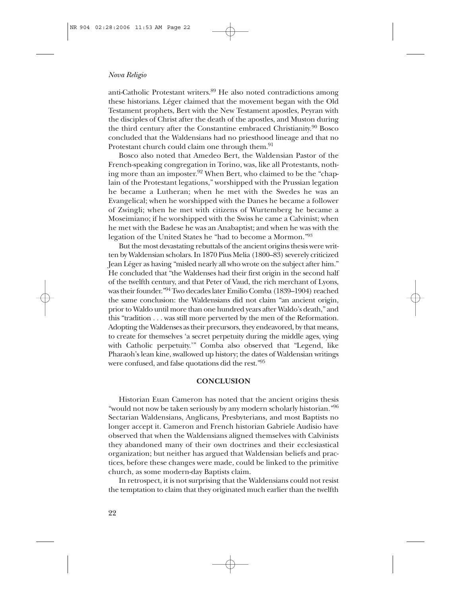anti-Catholic Protestant writers.<sup>89</sup> He also noted contradictions among these historians. Léger claimed that the movement began with the Old Testament prophets, Bert with the New Testament apostles, Peyran with the disciples of Christ after the death of the apostles, and Muston during the third century after the Constantine embraced Christianity.<sup>90</sup> Bosco concluded that the Waldensians had no priesthood lineage and that no Protestant church could claim one through them.<sup>91</sup>

Bosco also noted that Amedeo Bert, the Waldensian Pastor of the French-speaking congregation in Torino, was, like all Protestants, nothing more than an imposter.<sup>92</sup> When Bert, who claimed to be the "chaplain of the Protestant legations," worshipped with the Prussian legation he became a Lutheran; when he met with the Swedes he was an Evangelical; when he worshipped with the Danes he became a follower of Zwingli; when he met with citizens of Wurtemberg he became a Moseimiano; if he worshipped with the Swiss he came a Calvinist; when he met with the Badese he was an Anabaptist; and when he was with the legation of the United States he "had to become a Mormon."93

But the most devastating rebuttals of the ancient origins thesis were written by Waldensian scholars. In 1870 Pius Melia (1800–83) severely criticized Jean Léger as having "misled nearly all who wrote on the subject after him." He concluded that "the Waldenses had their first origin in the second half of the twelfth century, and that Peter of Vaud, the rich merchant of Lyons, was their founder."94 Two decades later Emilio Comba (1839–1904) reached the same conclusion: the Waldensians did not claim "an ancient origin, prior to Waldo until more than one hundred years after Waldo's death," and this "tradition . . . was still more perverted by the men of the Reformation. Adopting the Waldenses as their precursors, they endeavored, by that means, to create for themselves 'a secret perpetuity during the middle ages, vying with Catholic perpetuity.'" Comba also observed that "Legend, like Pharaoh's lean kine, swallowed up history; the dates of Waldensian writings were confused, and false quotations did the rest."95

#### **CONCLUSION**

Historian Euan Cameron has noted that the ancient origins thesis "would not now be taken seriously by any modern scholarly historian."96 Sectarian Waldensians, Anglicans, Presbyterians, and most Baptists no longer accept it. Cameron and French historian Gabriele Audisio have observed that when the Waldensians aligned themselves with Calvinists they abandoned many of their own doctrines and their ecclesiastical organization; but neither has argued that Waldensian beliefs and practices, before these changes were made, could be linked to the primitive church, as some modern-day Baptists claim.

In retrospect, it is not surprising that the Waldensians could not resist the temptation to claim that they originated much earlier than the twelfth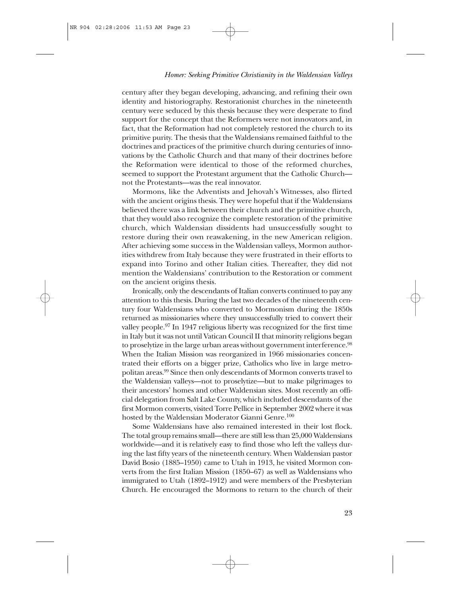century after they began developing, advancing, and refining their own identity and historiography. Restorationist churches in the nineteenth century were seduced by this thesis because they were desperate to find support for the concept that the Reformers were not innovators and, in fact, that the Reformation had not completely restored the church to its primitive purity. The thesis that the Waldensians remained faithful to the doctrines and practices of the primitive church during centuries of innovations by the Catholic Church and that many of their doctrines before the Reformation were identical to those of the reformed churches, seemed to support the Protestant argument that the Catholic Church not the Protestants—was the real innovator.

Mormons, like the Adventists and Jehovah's Witnesses, also flirted with the ancient origins thesis. They were hopeful that if the Waldensians believed there was a link between their church and the primitive church, that they would also recognize the complete restoration of the primitive church, which Waldensian dissidents had unsuccessfully sought to restore during their own reawakening, in the new American religion. After achieving some success in the Waldensian valleys, Mormon authorities withdrew from Italy because they were frustrated in their efforts to expand into Torino and other Italian cities. Thereafter, they did not mention the Waldensians' contribution to the Restoration or comment on the ancient origins thesis.

Ironically, only the descendants of Italian converts continued to pay any attention to this thesis. During the last two decades of the nineteenth century four Waldensians who converted to Mormonism during the 1850s returned as missionaries where they unsuccessfully tried to convert their valley people.<sup>97</sup> In 1947 religious liberty was recognized for the first time in Italy but it was not until Vatican Council II that minority religions began to proselytize in the large urban areas without government interference.<sup>98</sup> When the Italian Mission was reorganized in 1966 missionaries concentrated their efforts on a bigger prize, Catholics who live in large metropolitan areas.99 Since then only descendants of Mormon converts travel to the Waldensian valleys—not to proselytize—but to make pilgrimages to their ancestors' homes and other Waldensian sites. Most recently an official delegation from Salt Lake County, which included descendants of the first Mormon converts, visited Torre Pellice in September 2002 where it was hosted by the Waldensian Moderator Gianni Genre.<sup>100</sup>

Some Waldensians have also remained interested in their lost flock. The total group remains small—there are still less than 25,000 Waldensians worldwide—and it is relatively easy to find those who left the valleys during the last fifty years of the nineteenth century. When Waldensian pastor David Bosio (1885–1950) came to Utah in 1913, he visited Mormon converts from the first Italian Mission (1850–67) as well as Waldensians who immigrated to Utah (1892–1912) and were members of the Presbyterian Church. He encouraged the Mormons to return to the church of their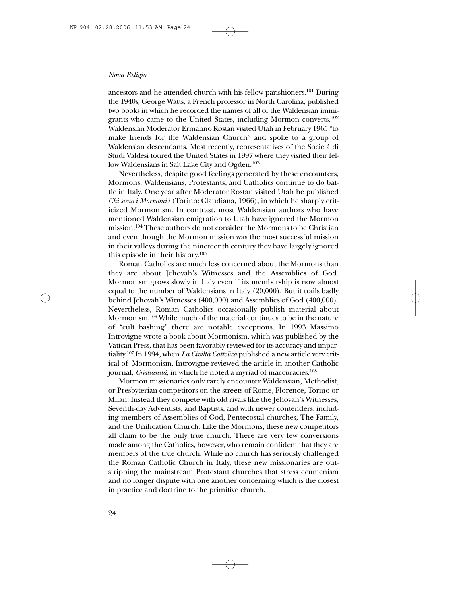ancestors and he attended church with his fellow parishioners.<sup>101</sup> During the 1940s, George Watts, a French professor in North Carolina, published two books in which he recorded the names of all of the Waldensian immigrants who came to the United States, including Mormon converts.<sup>102</sup> Waldensian Moderator Ermanno Rostan visited Utah in February 1965 "to make friends for the Waldensian Church" and spoke to a group of Waldensian descendants. Most recently, representatives of the Societá di Studi Valdesi toured the United States in 1997 where they visited their fellow Waldensians in Salt Lake City and Ogden.<sup>103</sup>

Nevertheless, despite good feelings generated by these encounters, Mormons, Waldensians, Protestants, and Catholics continue to do battle in Italy. One year after Moderator Rostan visited Utah he published *Chi sono i Mormoni?* (Torino: Claudiana, 1966), in which he sharply criticized Mormonism. In contrast, most Waldensian authors who have mentioned Waldensian emigration to Utah have ignored the Mormon mission.104 These authors do not consider the Mormons to be Christian and even though the Mormon mission was the most successful mission in their valleys during the nineteenth century they have largely ignored this episode in their history.105

Roman Catholics are much less concerned about the Mormons than they are about Jehovah's Witnesses and the Assemblies of God. Mormonism grows slowly in Italy even if its membership is now almost equal to the number of Waldensians in Italy (20,000). But it trails badly behind Jehovah's Witnesses (400,000) and Assemblies of God (400,000). Nevertheless, Roman Catholics occasionally publish material about Mormonism.106 While much of the material continues to be in the nature of "cult bashing" there are notable exceptions. In 1993 Massimo Introvigne wrote a book about Mormonism, which was published by the Vatican Press, that has been favorably reviewed for its accuracy and impartiality.107 In 1994, when *La Civiltà Cattolica* published a new article very critical of Mormonism, Introvigne reviewed the article in another Catholic journal, *Cristianità*, in which he noted a myriad of inaccuracies.<sup>108</sup>

Mormon missionaries only rarely encounter Waldensian, Methodist, or Presbyterian competitors on the streets of Rome, Florence, Torino or Milan. Instead they compete with old rivals like the Jehovah's Witnesses, Seventh-day Adventists, and Baptists, and with newer contenders, including members of Assemblies of God, Pentecostal churches, The Family, and the Unification Church. Like the Mormons, these new competitors all claim to be the only true church. There are very few conversions made among the Catholics, however, who remain confident that they are members of the true church. While no church has seriously challenged the Roman Catholic Church in Italy, these new missionaries are outstripping the mainstream Protestant churches that stress ecumenism and no longer dispute with one another concerning which is the closest in practice and doctrine to the primitive church.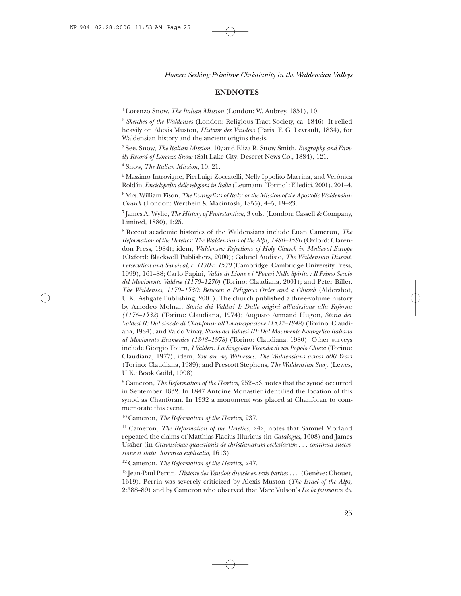# **ENDNOTES**

1 Lorenzo Snow, *The Italian Mission* (London: W. Aubrey, 1851), 10.

<sup>2</sup>*Sketches of the Waldenses* (London: Religious Tract Society, ca. 1846). It relied heavily on Alexis Muston, *Histoire des Vaudois* (Paris: F. G. Levrault, 1834), for Waldensian history and the ancient origins thesis.

3 See, Snow, *The Italian Mission*, 10*;* and Eliza R. Snow Smith, *Biography and Family Record of Lorenzo Snow* (Salt Lake City: Deseret News Co., 1884), 121.

4 Snow, *The Italian Mission,* 10, 21.

5 Massimo Introvigne, PierLuigi Zoccatelli, Nelly Ippolito Macrina, and Verónica Roldán, *Enciclopedia delle religioni in Italia* (Leumann [Torino]: Elledici, 2001), 201–4.

6 Mrs. William Fison, *The Evangelists of Italy: or the Mission of the Apostolic Waldensian Church* (London: Werthein & Macintosh, 1855), 4–5, 19–23.

7 James A. Wylie, *The History of Protestantism,* 3 vols. (London: Cassell & Company, Limited, 1880), 1:25.

8 Recent academic histories of the Waldensians include Euan Cameron, *The Reformation of the Heretics: The Waldensians of the Alps, 1480–1580* (Oxford: Clarendon Press, 1984); idem, *Waldenses: Rejections of Holy Church in Medieval Europe* (Oxford: Blackwell Publishers, 2000); Gabriel Audisio, *The Waldensian Dissent, Persecution and Survival, c. 1170-c. 1570* (Cambridge: Cambridge University Press, 1999), 161–88; Carlo Papini, *Valdo di Lione e i "Poveri Nello Spirito': Il Primo Secolo del Movimento Valdese (1170–1270)* (Torino: Claudiana, 2001); and Peter Biller, *The Waldenses, 1170–1530: Between a Religious Order and a Church* (Aldershot, U.K.: Ashgate Publishing, 2001). The church published a three-volume history by Amedeo Molnar, *Storia dei Valdesi I: Dalle origini all'adesione alla Riforna (1176–1532)* (Torino: Claudiana, 1974); Augusto Armand Hugon, *Storia dei Valdesi II: Dal sinodo di Chanforan all'Emancipazione (1532–1848)* (Torino: Claudiana, 1984); and Valdo Vinay, *Storia dei Valdesi III: Dal Movimento Evangelico Italiano al Movimento Ecumenico (1848–1978)* (Torino: Claudiana, 1980). Other surveys include Giorgio Tourn, *I Valdesi: La Singolare Vicenda di un Popolo Chiesa* (Torino: Claudiana, 1977); idem, *You are my Witnesses: The Waldensians across 800 Years* (Torino: Claudiana, 1989); and Prescott Stephens, *The Waldensian Story* (Lewes, U.K.: Book Guild, 1998).

9 Cameron, *The Reformation of the Heretics,* 252–53, notes that the synod occurred in September 1832. In 1847 Antoine Monastier identified the location of this synod as Chanforan. In 1932 a monument was placed at Chanforan to commemorate this event.

10 Cameron, *The Reformation of the Heretics,* 237.

11 Cameron, *The Reformation of the Heretics,* 242, notes that Samuel Morland repeated the claims of Matthias Flacius Illuricus (in *Catalogus,* 1608) and James Ussher (in *Gravissimae quaestionis de christianarum ecclesiarum . . . continua successione et statu, historica explicatio,* 1613).

12 Cameron, *The Reformation of the Heretics,* 247.

<sup>13</sup> Jean-Paul Perrin, *Histoire des Vaudois divisée en trois parties* . . . (Genève: Chouet, 1619). Perrin was severely criticized by Alexis Muston (*The Israel of the Alps,* 2:388–89) and by Cameron who observed that Marc Vulson's *De la puissance du*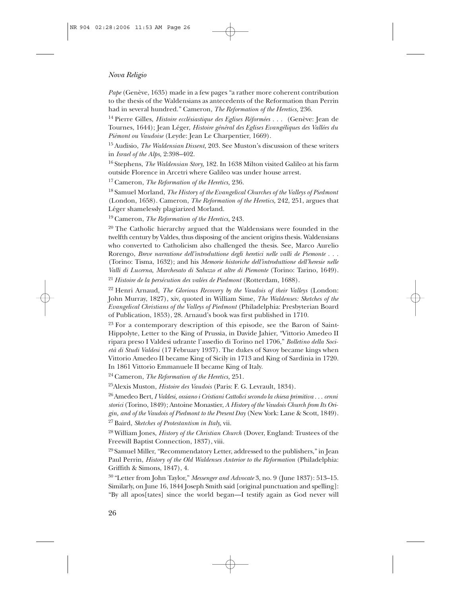*Pape* (Genève, 1635) made in a few pages "a rather more coherent contribution to the thesis of the Waldensians as antecedents of the Reformation than Perrin had in several hundred." Cameron, *The Reformation of the Heretics,* 236.

<sup>14</sup> Pierre Gilles, *Histoire ecclésiastique des Eglises Réformées* . . . (Genève: Jean de Tournes, 1644); Jean Léger, *Histoire général des Eglises Evangéliques des Vallées du Piémont ou Vaudoise* (Leyde: Jean Le Charpentier, 1669).

15 Audisio, *The Waldensian Dissent,* 203. See Muston's discussion of these writers in *Israel of the Alps,* 2:398–402.

16 Stephens, *The Waldensian Story,* 182. In 1638 Milton visited Galileo at his farm outside Florence in Arcetri where Galileo was under house arrest.

17 Cameron, *The Reformation of the Heretics,* 236.

18 Samuel Morland, *The History of the Evangelical Churches of the Valleys of Piedmont* (London, 1658). Cameron, *The Reformation of the Heretics,* 242, 251, argues that Léger shamelessly plagiarized Morland.

19 Cameron, *The Reformation of the Heretics,* 243.

 $20$  The Catholic hierarchy argued that the Waldensians were founded in the twelfth century by Valdes, thus disposing of the ancient origins thesis. Waldensians who converted to Catholicism also challenged the thesis. See, Marco Aurelio Rorengo, *Breve narratione dell'introduttione degli heretici nelle valli de Piemonte . . .* (Torino: Tisma, 1632); and his *Memorie historiche dell'introduttione dell'heresie nelle Valli di Lucerna, Marchesato di Saluzzo et altre di Piemonte* (Torino: Tarino, 1649).

<sup>21</sup>*Histoire de la persécution des valées de Piedmont* (Rotterdam, 1688).

22 Henri Arnaud, *The Glorious Recovery by the Vaudois of their Valleys* (London: John Murray, 1827), xiv, quoted in William Sime, *The Waldenses: Sketches of the Evangelical Christians of the Valleys of Piedmont* (Philadelphia: Presbyterian Board of Publication, 1853), 28. Arnaud's book was first published in 1710.

<sup>23</sup> For a contemporary description of this episode, see the Baron of Saint-Hippolyte, Letter to the King of Prussia, in Davide Jahier, "Vittorio Amedeo II ripara preso I Valdesi udrante l'assedio di Torino nel 1706," *Bolletino della Società di Studi Valdesi* (17 February 1937). The dukes of Savoy became kings when Vittorio Amedeo II became King of Sicily in 1713 and King of Sardinia in 1720. In 1861 Vittorio Emmanuele II became King of Italy.

24 Cameron, *The Reformation of the Heretics,* 251.

25Alexis Muston, *Histoire des Vaudois* (Paris: F. G. Levrault, 1834).

26 Amedeo Bert, *I Valdesi, ossiano i Cristiani Cattolici secondo la chiesa primitiva . . . cenni storici* (Torino, 1849); Antoine Monastier, *A History of the Vaudois Church from Its Origin, and of the Vaudois of Piedmont to the Present Day* (New York: Lane & Scott, 1849).

27 Baird, *Sketches of Protestantism in Italy,* vii.

28 William Jones, *History of the Christian Church* (Dover, England: Trustees of the Freewill Baptist Connection, 1837), viii.

29 Samuel Miller, "Recommendatory Letter, addressed to the publishers," in Jean Paul Perrin, *History of the Old Waldenses Anterior to the Reformation* (Philadelphia: Griffith & Simons, 1847), 4.

30 "Letter from John Taylor," *Messenger and Advocate* 3, no. 9 (June 1837): 513–15. Similarly, on June 16, 1844 Joseph Smith said [original punctuation and spelling]: "By all apos[tates] since the world began—I testify again as God never will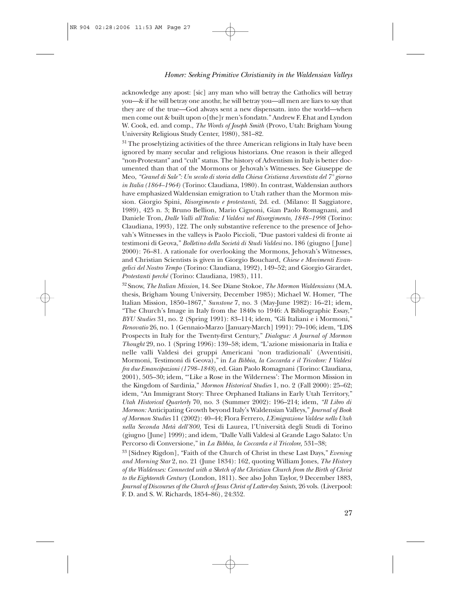acknowledge any apost: [sic] any man who will betray the Catholics will betray you—& if he will betray one anothr, he will betray you—all men are liars to say that they are of the true—God always sent a new dispensatn. into the world—when men come out & built upon o[the]r men's fondatn." Andrew F. Ehat and Lyndon W. Cook, ed. and comp., *The Words of Joseph Smith* (Provo, Utah: Brigham Young University Religious Study Center, 1980), 381–82.

<sup>31</sup> The proselytizing activities of the three American religions in Italy have been ignored by many secular and religious historians. One reason is their alleged "non-Protestant" and "cult" status. The history of Adventism in Italy is better documented than that of the Mormons or Jehovah's Witnesses. See Giuseppe de Meo, *"Granel di Sale": Un secolo di storia della Chiesa Cristiana Avventista del 7° giorno in Italia (1864–1964)* (Torino: Claudiana, 1980). In contrast, Waldensian authors have emphasized Waldensian emigration to Utah rather than the Mormon mission. Giorgio Spini, *Risorgimento e protestanti,* 2d. ed. (Milano: Il Saggiatore, 1989), 425 n. 3; Bruno Bellion, Mario Cignoni, Gian Paolo Romagnani, and Daniele Tron, *Dalle Valli all'Italia: I Valdesi nel Risorgimento, 1848–1998* (Torino: Claudiana, 1993)*,* 122. The only substantive reference to the presence of Jehovah's Witnesses in the valleys is Paolo Piccioli, "Due pastori valdesi di fronte ai testimoni di Geova," *Bolletino della Società di Studi Valdesi* no. 186 (giugno [ June] 2000): 76–81. A rationale for overlooking the Mormons, Jehovah's Witnesses, and Christian Scientists is given in Giorgio Bouchard, *Chiese e Movimenti Evangelici del Nostro Tempo* (Torino: Claudiana, 1992), 149–52; and Giorgio Girardet, *Protestanti perché* (Torino: Claudiana, 1983), 111.

32 Snow, *The Italian Mission,* 14. See Diane Stokoe, *The Mormon Waldensians* (M.A. thesis, Brigham Young University, December 1985); Michael W. Homer, "The Italian Mission, 1850–1867," *Sunstone* 7, no. 3 (May-June 1982): 16–21; idem, "The Church's Image in Italy from the 1840s to 1946: A Bibliographic Essay," *BYU Studies* 31, no. 2 (Spring 1991): 83–114; idem, "Gli Italiani e i Mormoni," *Renovatio* 26, no. 1 (Gennaio-Marzo [January-March] 1991): 79–106; idem, "LDS Prospects in Italy for the Twenty-first Century," *Dialogue: A Journal of Mormon Thought* 29, no. 1 (Spring 1996): 139–58; idem, "L'azione missionaria in Italia e nelle valli Valdesi dei gruppi Americani 'non tradizionali' (Avventisiti, Mormoni, Testimoni di Geova)," in *La Bibbia, la Coccarda e il Tricolore: I Valdesi fra due Emancipazioni (1798–1848)*, ed. Gian Paolo Romagnani (Torino: Claudiana, 2001), 505–30; idem, "'Like a Rose in the Wilderness': The Mormon Mission in the Kingdom of Sardinia," *Mormon Historical Studies* 1, no. 2 (Fall 2000): 25–62; idem, "An Immigrant Story: Three Orphaned Italians in Early Utah Territory," *Utah Historical Quarterly* 70, no. 3 (Summer 2002): 196–214; idem, *"Il Libro di Mormon:* Anticipating Growth beyond Italy's Waldensian Valleys," *Journal of Book of Mormon Studies* 11 (2002): 40–44; Flora Ferrero, *L'Emigrazione Valdese nello Utah nella Seconda Metà dell'800,* Tesi di Laurea, l'Università degli Studi di Torino (giugno [June] 1999); and idem, "Dalle Valli Valdesi al Grande Lago Salato: Un Percorso di Conversione," in *La Bibbia, la Coccarda e il Tricolore,* 531–38;

33 [Sidney Rigdon], "Faith of the Church of Christ in these Last Days," *Evening and Morning Star* 2, no. 21 (June 1834): 162, quoting William Jones, *The History of the Waldenses: Connected with a Sketch of the Christian Church from the Birth of Christ to the Eighteenth Century* (London, 1811). See also John Taylor, 9 December 1883, *Journal of Discourses of the Church of Jesus Christ of Latter-day Saints,* 26 vols. (Liverpool: F. D. and S. W. Richards, 1854–86), 24:352.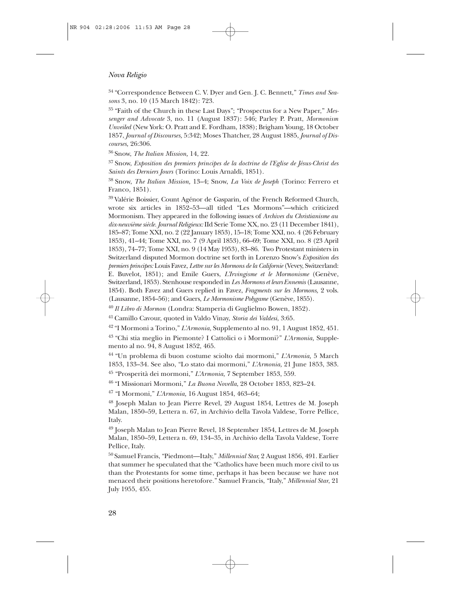34 "Correspondence Between C. V. Dyer and Gen. J. C. Bennett," *Times and Seasons* 3, no. 10 (15 March 1842): 723.

35 "Faith of the Church in these Last Days"; "Prospectus for a New Paper," *Messenger and Advocate* 3, no. 11 (August 1837): 546; Parley P. Pratt, *Mormonism Unveiled* (New York: O. Pratt and E. Fordham, 1838); Brigham Young, 18 October 1857, *Journal of Discourses,* 5:342; Moses Thatcher, 28 August 1885, *Journal of Discourses,* 26:306.

36 Snow, *The Italian Mission,* 14, 22.

37 Snow, *Exposition des premiers principes de la doctrine de l'Eglise de Jésus-Christ des Saints des Derniers Jours* (Torino: Louis Arnaldi, 1851).

38 Snow, *The Italian Mission,* 13–4; Snow, *La Voix de Joseph* (Torino: Ferrero et Franco, 1851).

39 Valérie Boissier, Count Agénor de Gasparin, of the French Reformed Church, wrote six articles in 1852–53—all titled "Les Mormons"—which criticized Mormonism. They appeared in the following issues of *Archives du Christianisme au dix-neuvième siècle. Journal Religieux:*IId Serie Tome XX, no. 23 (11 December 1841), 185–87; Tome XXI, no. 2 (22 January 1853), 15–18; Tome XXI, no. 4 (26 February 1853), 41–44; Tome XXI, no. 7 (9 April 1853), 66–69; Tome XXI, no. 8 (23 April 1853), 74–77; Tome XXI, no. 9 (14 May 1953), 83–86. Two Protestant ministers in Switzerland disputed Mormon doctrine set forth in Lorenzo Snow's *Exposition des premiers principes:* Louis Favez, *Lettre sur les Mormons de la Californie* (Vevey, Switzerland: E. Buvelot, 1851); and Emile Guers, *L'Irvingisme et le Mormonisme* (Genève, Switzerland, 1853). Stenhouse responded in *Les Mormons et leurs Ennemis* (Lausanne, 1854). Both Favez and Guers replied in Favez, *Fragments sur les Mormons,* 2 vols. (Lausanne, 1854–56); and Guers, *Le Mormonisme Polygame* (Genève, 1855).

<sup>40</sup>*Il Libro di Mormon* (Londra: Stamperia di Guglielmo Bowen, 1852).

41 Camillo Cavour, quoted in Valdo Vinay, *Storia dei Valdesi*, 3:65.

42 "I Mormoni a Torino," *L'Armonia,* Supplemento al no. 91, 1 August 1852, 451.

43 "Chi stia meglio in Piemonte? I Cattolici o i Mormoni?" *L'Armonia,* Supplemento al no. 94, 8 August 1852, 465.

44 "Un problema di buon costume sciolto dai mormoni," *L'Armonia,* 5 March 1853, 133–34. See also, "Lo stato dai mormoni," *L'Armonia,* 21 June 1853, 383.

<sup>45</sup> "Prosperità dei mormoni," *L'Armonia,* 7 September 1853, 559.

46 "I Missionari Mormoni," *La Buona Novella*, 28 October 1853, 823–24.

<sup>47</sup> "I Mormoni," *L'Armonia,* 16 August 1854, 463–64;

<sup>48</sup> Joseph Malan to Jean Pierre Revel, 29 August 1854, Lettres de M. Joseph Malan, 1850–59, Lettera n. 67, in Archivio della Tavola Valdese, Torre Pellice, Italy.

<sup>49</sup> Joseph Malan to Jean Pierre Revel, 18 September 1854, Lettres de M. Joseph Malan, 1850–59, Lettera n. 69, 134–35, in Archivio della Tavola Valdese, Torre Pellice, Italy.

50 Samuel Francis, "Piedmont—Italy," *Millennial Star,* 2 August 1856, 491. Earlier that summer he speculated that the "Catholics have been much more civil to us than the Protestants for some time, perhaps it has been because we have not menaced their positions heretofore." Samuel Francis, "Italy," *Millennial Star*, 21 July 1955, 455.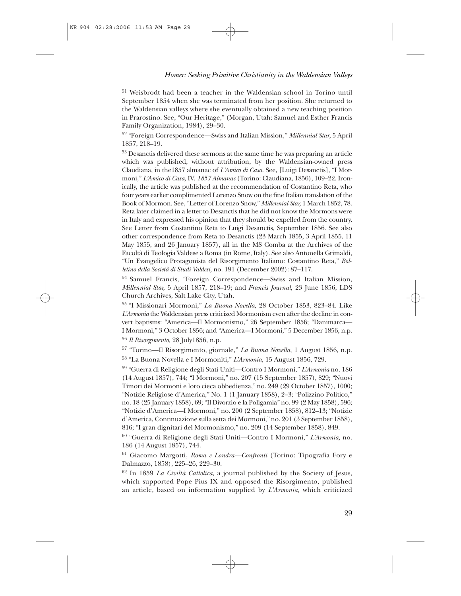<sup>51</sup> Weisbrodt had been a teacher in the Waldensian school in Torino until September 1854 when she was terminated from her position. She returned to the Waldensian valleys where she eventually obtained a new teaching position in Prarostino. See, "Our Heritage," (Morgan, Utah: Samuel and Esther Francis Family Organization, 1984), 29–30.

<sup>52</sup> "Foreign Correspondence—Swiss and Italian Mission," *Millennial Star*, 5 April 1857, 218–19.

<sup>53</sup> Desanctis delivered these sermons at the same time he was preparing an article which was published, without attribution, by the Waldensian-owned press Claudiana, in the1857 almanac of *L'Amico di Casa*. See, [Luigi Desanctis], "I Mormoni," *L'Amico di Casa,* IV, *1857 Almanac* (Torino: Claudiana, 1856), 109–22. Ironically, the article was published at the recommendation of Costantino Reta, who four years earlier complimented Lorenzo Snow on the fine Italian translation of the Book of Mormon. See, "Letter of Lorenzo Snow," *Millennial Star,* 1 March 1852, 78. Reta later claimed in a letter to Desanctis that he did not know the Mormons were in Italy and expressed his opinion that they should be expelled from the country. See Letter from Costantino Reta to Luigi Desanctis, September 1856. See also other correspondence from Reta to Desanctis (23 March 1855, 3 April 1855, 11 May 1855, and 26 January 1857), all in the MS Comba at the Archives of the Facoltà di Teologia Valdese a Roma (in Rome, Italy). See also Antonella Grimaldi, "Un Evangelico Protagonista del Risorgimento Italiano: Costantino Reta," *Bolletino della Società di Studi Valdesi,* no. 191 (December 2002): 87–117.

54 Samuel Francis, "Foreign Correspondence—Swiss and Italian Mission, *Millennial Star,* 5 April 1857, 218–19; and *Francis Journal,* 23 June 1856, LDS Church Archives, Salt Lake City, Utah.

55 "I Missionari Mormoni," *La Buona Novella,* 28 October 1853, 823–84. Like *L'Armonia* the Waldensian press criticized Mormonism even after the decline in convert baptisms: "America—Il Mormonismo," 26 September 1856; "Danimarca— I Mormoni," 3 October 1856; and "America—I Mormoni," 5 December 1856, n.p.

<sup>56</sup> *Il Risorgimento,* 28 July1856, n.p.

<sup>57</sup> "Torino—Il Risorgimento, giornale," *La Buona Novella,* 1 August 1856, n.p. <sup>58</sup> "La Buona Novella e I Mormoniti," *L'Armonia,* 15 August 1856, 729.

<sup>59</sup> "Guerra di Religione degli Stati Uniti—Contro I Mormoni," *L'Armonia* no. 186 (14 August 1857), 744; "I Mormoni," no. 207 (15 September 1857), 829; "Nuovi Timori dei Mormoni e loro cieca obbedienza," no. 249 (29 October 1857), 1000; "Notizie Religiose d'America," No. 1 (1 January 1858), 2–3; "Polizzino Politico," no. 18 (25 January 1858), 69; "Il Divorzio e la Poligamia" no. 99 (2 May 1858), 596; "Notizie d'America—I Mormoni," no. 200 (2 September 1858), 812–13; "Notizie d'America, Continuazione sulla setta dei Mormoni," no. 201 (3 September 1858), 816; "I gran dignitari del Mormonismo," no. 209 (14 September 1858), 849.

<sup>60</sup> "Guerra di Religione degli Stati Uniti—Contro I Mormoni," *L'Armonia,* no. 186 (14 August 1857), 744.

<sup>61</sup> Giacomo Margotti, *Roma e Londra—Confronti* (Torino: Tipografia Fory e Dalmazzo, 1858), 225–26, 229–30.

<sup>62</sup> In 1859 *La Civiltà Cattolica,* a journal published by the Society of Jesus, which supported Pope Pius IX and opposed the Risorgimento, published an article, based on information supplied by *L'Armonia,* which criticized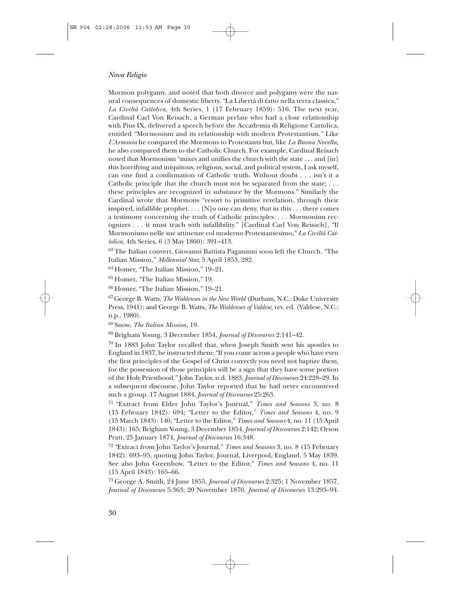Mormon polygamy, and noted that both divorce and polygamy were the natural consequences of domestic liberty. "La Libertà di fatto nella terra classica," *La Civiltà Cattolica,* 4th Series, 1 (17 February 1859): 516. The next year, Cardinal Carl Von Reisach, a German prelate who had a close relationship with Pius IX, delivered a speech before the Accademia di Religione Cattolica, entitled "Mormonism and its relationship with modern Protestantism." Like *L'Armonia* he compared the Mormons to Protestants but, like *La Buona Novella,* he also compared them to the Catholic Church. For example, Cardinal Reisach noted that Mormonism "mixes and unifies the church with the state . . . and [in] this horrifying and iniquitous, religious, social, and political system, I ask myself, can one find a confirmation of Catholic truth. Without doubt . . . isn't it a Catholic principle that the church must not be separated from the state; . . . these principles are recognized in substance by the Mormons." Similarly the Cardinal wrote that Mormons "resort to primitive revelation, through their inspired, infallible prophet.  $\dots$  [N] o one can deny, that in this  $\dots$  there comes a testimony concerning the truth of Catholic principles. . . . Mormonism recognizes . . . it must teach with infallibility." [Cardinal Carl Von Reisach], "Il Mormonismo nelle sue attinenze col moderno Protestantesimo," *La Civiltà Cattolica,* 4th Series, 6 (3 May 1860): 391–413.

63 The Italian convert, Giovanni Battista Paganinni soon left the Church. "The Italian Mission," *Millennial Star,* 5 April 1853, 282.

64 Homer, "The Italian Mission," 19–21.

65 Homer, "The Italian Mission," 19.

66 Homer, "The Italian Mission," 19–21.

67 George B. Watts, *The Waldenses in the New World* (Durham, N.C.: Duke University Press, 1941); and George B. Watts, *The Waldenses of Valdese,* rev. ed. (Valdese, N.C.: n.p., 1980).

68 Snow, *The Italian Mission,* 19.

69 Brigham Young, 3 December 1854, *Journal of Discourses* 2:141–42.

70 In 1883 John Taylor recalled that, when Joseph Smith sent his apostles to England in 1837, he instructed them: "If you come across a people who have even the first principles of the Gospel of Christ correctly you need not baptize them, for the possession of those principles will be a sign that they have some portion of the Holy Priesthood." John Taylor, n.d. 1883, *Journal of Discourses* 24:228–29. In a subsequent discourse, John Taylor reported that he had never encountered such a group. 17 August 1884, *Journal of Discourses* 25:263.

71 "Extract from Elder John Taylor's Journal," *Times and Seasons* 3, no. 8 (15 February 1842): 694; "Letter to the Editor," *Times and Seasons* 4, no. 9 (15 March 1843): 140; "Letter to the Editor," *Times and Seasons* 4, no. 11 (15 April 1843): 165; Brigham Young, 3 December 1854, *Journal of Discourses* 2:142; Orson Pratt, 25 January 1874, *Journal of Discourses* 16:348.

72 "Extract from John Taylor's Journal," *Times and Seasons* 3, no. 8 (15 February 1842): 693–95, quoting John Taylor, Journal, Liverpool, England, 5 May 1839. See also John Greenhow, "Letter to the Editor," *Times and Seasons* 4, no. 11 (15 April 1843): 165–66.

73 George A. Smith, 24 June 1855, *Journal of Discourses* 2:325; 1 November 1857, *Journal of Discourses* 5:363; 20 November 1870, *Journal of Discourses* 13:293–94.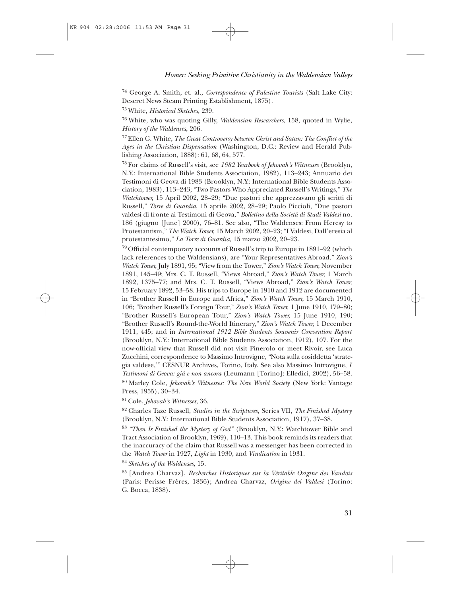<sup>74</sup> George A. Smith, et. al., *Correspondence of Palestine Tourists* (Salt Lake City: Deseret News Steam Printing Establishment, 1875).

75 White, *Historical Sketches,* 239.

76 White, who was quoting Gilly, *Waldensian Researchers,* 158, quoted in Wylie, *History of the Waldenses,* 206.

77 Ellen G. White, *The Great Controversy between Christ and Satan: The Conflict of the Ages in the Christian Dispensation* (Washington, D.C.: Review and Herald Publishing Association, 1888): 61, 68, 64, 577.

78 For claims of Russell's visit, see *1982 Yearbook of Jehovah's Witnesses* (Brooklyn, N.Y.: International Bible Students Association, 1982), 113–243; Annuario dei Testimoni di Geova di 1983 (Brooklyn, N.Y.: International Bible Students Association, 1983), 113–243; "Two Pastors Who Appreciated Russell's Writings," *The Watchtower,* 15 April 2002, 28–29; "Due pastori che apprezzavano gli scritti di Russell," *Torre di Guardia*, 15 aprile 2002, 28–29; Paolo Piccioli, "Due pastori valdesi di fronte ai Testimoni di Geova," *Bolletino della Società di Studi Valdesi* no. 186 (giugno [June] 2000), 76–81. See also, "The Waldenses: From Heresy to Protestantism," *The Watch Tower,* 15 March 2002, 20–23; "I Valdesi, Dall'eresia al protestantesimo," *La Torre di Guardia,* 15 marzo 2002, 20–23.

79 Official contemporary accounts of Russell's trip to Europe in 1891–92 (which lack references to the Waldensians), are "Your Representatives Abroad," *Zion's Watch Tower,* July 1891, 95; "View from the Tower," *Zion's Watch Tower,* November 1891, 145–49; Mrs. C. T. Russell, "Views Abroad," *Zion's Watch Tower,* 1 March 1892, 1375–77; and Mrs. C. T. Russell, "Views Abroad," *Zion's Watch Tower,* 15 February 1892, 53–58. His trips to Europe in 1910 and 1912 are documented in "Brother Russell in Europe and Africa," *Zion's Watch Tower,* 15 March 1910, 106; "Brother Russell's Foreign Tour," *Zion's Watch Tower,* 1 June 1910, 179–80; "Brother Russell's European Tour," *Zion's Watch Tower,* 15 June 1910, 190; "Brother Russell's Round-the-World Itinerary," *Zion's Watch Tower,* 1 December 1911, 445; and in *International 1912 Bible Students Souvenir Convention Report* (Brooklyn, N.Y.: International Bible Students Association, 1912), 107. For the now-official view that Russell did not visit Pinerolo or meet Rivoir, see Luca Zucchini, correspondence to Massimo Introvigne, "Nota sulla cosiddetta 'strategia valdese,'" CESNUR Archives, Torino, Italy. See also Massimo Introvigne, *I Testimoni di Geova: già e non ancora* (Leumann [Torino]: Elledici, 2002), 56–58.

80 Marley Cole, *Jehovah's Witnesses: The New World Society* (New York: Vantage Press, 1955), 30–34.

81 Cole, *Jehovah's Witnesses*, 36.

82 Charles Taze Russell, *Studies in the Scriptures,* Series VII, *The Finished Mystery* (Brooklyn, N.Y.: International Bible Students Association, 1917), 37–38.

<sup>83</sup>*"Then Is Finished the Mystery of God"* (Brooklyn, N.Y.: Watchtower Bible and Tract Association of Brooklyn, 1969), 110–13. This book reminds its readers that the inaccuracy of the claim that Russell was a messenger has been corrected in the *Watch Tower* in 1927, *Light* in 1930, and *Vindication* in 1931.

<sup>84</sup>*Sketches of the Waldenses,* 15.

85 [Andrea Charvaz], *Recherches Historiques sur la Véritable Origine des Vaudois* (Paris: Perisse Frères, 1836); Andrea Charvaz, *Origine dei Valdesi* (Torino: G. Bocca, 1838).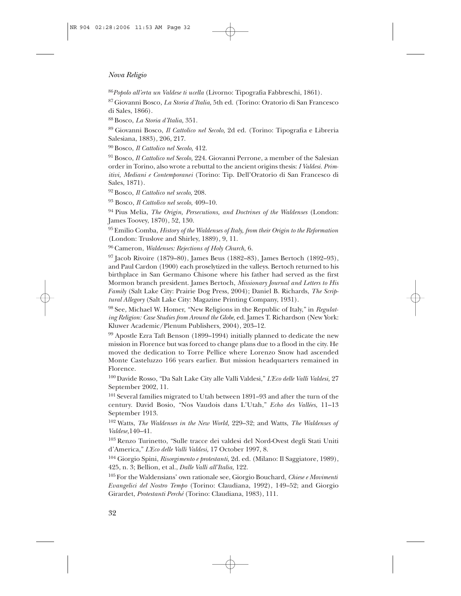<sup>86</sup>*Popolo all'erta un Valdese ti ucella* (Livorno: Tipografia Fabbreschi, 1861).

87 Giovanni Bosco, *La Storia d'Italia,* 5th ed. (Torino: Oratorio di San Francesco di Sales, 1866).

88 Bosco, *La Storia d'Italia,* 351.

89 Giovanni Bosco, *Il Cattolico nel Secolo,* 2d ed. (Torino: Tipografia e Libreria Salesiana, 1883), 206, 217.

90 Bosco, *Il Cattolico nel Secolo,* 412.

91 Bosco, *Il Cattolico nel Secolo,* 224. Giovanni Perrone, a member of the Salesian order in Torino, also wrote a rebuttal to the ancient origins thesis: *I Valdesi. Primitivi, Mediani e Contemporanei* (Torino: Tip. Dell'Oratorio di San Francesco di Sales, 1871).

92 Bosco, *Il Cattolico nel secolo,* 208.

<sup>93</sup> Bosco, *Il Cattolico nel secolo,* 409–10.

94 Pius Melia, *The Origin, Persecutions, and Doctrines of the Waldenses* (London: James Toovey, 1870), 52, 130.

95 Emilio Comba, *History of the Waldenses of Italy, from their Origin to the Reformation* (London: Truslove and Shirley, 1889), 9, 11.

96 Cameron, *Waldenses: Rejections of Holy Church,* 6.

 $97$  Jacob Rivoire (1879–80), James Beus (1882–83), James Bertoch (1892–93), and Paul Cardon (1900) each proselytized in the valleys. Bertoch returned to his birthplace in San Germano Chisone where his father had served as the first Mormon branch president. James Bertoch, *Missionary Journal and Letters to His Family* (Salt Lake City: Prairie Dog Press, 2004); Daniel B. Richards, *The Scriptural Allegory* (Salt Lake City: Magazine Printing Company, 1931).

98 See, Michael W. Homer, "New Religions in the Republic of Italy," in *Regulating Religion: Case Studies from Around the Globe,* ed. James T. Richardson (New York: Kluwer Academic/Plenum Publishers, 2004), 203–12.

 $99$  Apostle Ezra Taft Benson (1899–1994) initially planned to dedicate the new mission in Florence but was forced to change plans due to a flood in the city. He moved the dedication to Torre Pellice where Lorenzo Snow had ascended Monte Casteluzzo 166 years earlier. But mission headquarters remained in Florence.

100 Davide Rosso, "Da Salt Lake City alle Valli Valdesi," *L'Eco delle Valli Valdesi,* 27 September 2002, 11.

101 Several families migrated to Utah between 1891–93 and after the turn of the century. David Bosio, "Nos Vaudois dans L'Utah," *Echo des Vallées*, 11–13 September 1913.

102 Watts, *The Waldenses in the New World,* 229–32; and Watts, *The Waldenses of Valdese,*140–41.

103 Renzo Turinetto, "Sulle tracce dei valdesi del Nord-Ovest degli Stati Uniti d'America," *L'Eco delle Valli Valdesi,* 17 October 1997, 8.

<sup>104</sup> Giorgio Spini, *Risorgimento e protestanti,* 2d. ed. (Milano: Il Saggiatore, 1989), 425, n. 3; Bellion, et al., *Dalle Valli all'Italia,* 122.

105 For the Waldensians' own rationale see, Giorgio Bouchard, *Chiese e Movimenti Evangelici del Nostro Tempo* (Torino: Claudiana, 1992), 149–52; and Giorgio Girardet, *Protestanti Perché* (Torino: Claudiana, 1983), 111.